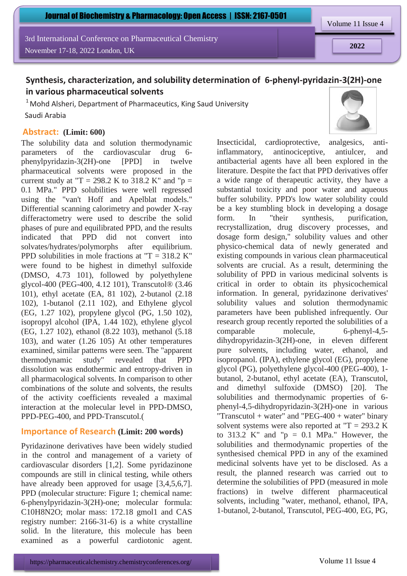Journal of Biochemistry & Pharmacology: Open Access | ISSN: 2167-0501

Volume 11 Issue 4

**Volume 10**

**1** 

### 3rd International Conference on Pharmaceutical Chemistry November 17-18, 2022 London, UK

# **Synthesis, characterization, and solubility determination of 6-phenyl-pyridazin-3(2H)-one in various pharmaceutical solvents**

 $1$  Mohd Alsheri, Department of Pharmaceutics, King Saud University Saudi Arabia

## **Abstract: (Limit: 600)**

The solubility data and solution thermodynamic parameters of the cardiovascular drug 6 phenylpyridazin-3(2H)-one [PPD] in twelve pharmaceutical solvents were proposed in the current study at "T = 298.2 K to 318.2 K" and "p = 0.1 MPa." PPD solubilities were well regressed using the "van't Hoff and Apelblat models." Differential scanning calorimetry and powder X-ray differactometry were used to describe the solid phases of pure and equilibrated PPD, and the results indicated that PPD did not convert into solvates/hydrates/polymorphs after equilibrium. PPD solubilities in mole fractions at " $T = 318.2$  K" were found to be highest in dimethyl sulfoxide (DMSO, 4.73 101), followed by polyethylene glycol-400 (PEG-400, 4.12 101), Transcutol® (3.46 101), ethyl acetate (EA, 81 102), 2-butanol (2.18 102), 1-butanol (2.11 102), and Ethylene glycol (EG, 1.27 102), propylene glycol (PG, 1.50 102), isopropyl alcohol (IPA, 1.44 102), ethylene glycol (EG, 1.27 102), ethanol (8.22 103), methanol (5.18 103), and water (1.26 105) At other temperatures examined, similar patterns were seen. The "apparent thermodynamic study" revealed that PPD dissolution was endothermic and entropy-driven in all pharmacological solvents. In comparison to other combinations of the solute and solvents, the results of the activity coefficients revealed a maximal interaction at the molecular level in PPD-DMSO, PPD-PEG-400, and PPD-Transcutol.(

## **Importance of Research (Limit: 200 words)**

Pyridazinone derivatives have been widely studied in the control and management of a variety of cardiovascular disorders [1,2]. Some pyridazinone compounds are still in clinical testing, while others have already been approved for usage [3,4,5,6,7]. PPD (molecular structure: Figure 1; chemical name: 6-phenylpyridazin-3(2H)-one; molecular formula: C10H8N2O; molar mass: 172.18 gmol1 and CAS registry number: 2166-31-6) is a white crystalline solid. In the literature, this molecule has been examined as a powerful cardiotonic agent.

Insecticidal, cardioprotective, analgesics, antiinflammatory, antinociceptive, antiulcer, and antibacterial agents have all been explored in the literature. Despite the fact that PPD derivatives offer a wide range of therapeutic activity, they have a substantial toxicity and poor water and aqueous buffer solubility. PPD's low water solubility could be a key stumbling block in developing a dosage form. In "their synthesis, purification, recrystallization, drug discovery processes, and dosage form design," solubility values and other physico-chemical data of newly generated and existing compounds in various clean pharmaceutical solvents are crucial. As a result, determining the solubility of PPD in various medicinal solvents is critical in order to obtain its physicochemical information. In general, pyridazinone derivatives' solubility values and solution thermodynamic parameters have been published infrequently. Our research group recently reported the solubilities of a comparable molecule, 6-phenyl-4,5 dihydropyridazin-3(2H)-one, in eleven different pure solvents, including water, ethanol, and isopropanol. (IPA), ethylene glycol (EG), propylene glycol (PG), polyethylene glycol-400 (PEG-400), 1 butanol, 2-butanol, ethyl acetate (EA), Transcutol, and dimethyl sulfoxide (DMSO) [20]. The solubilities and thermodynamic properties of 6 phenyl-4,5-dihydropyridazin-3(2H)-one in various "Transcutol + water" and "PEG-400 + water" binary solvent systems were also reported at " $T = 293.2$  K to 313.2 K" and " $p = 0.1$  MPa." However, the solubilities and thermodynamic properties of the synthesised chemical PPD in any of the examined medicinal solvents have yet to be disclosed. As a result, the planned research was carried out to determine the solubilities of PPD (measured in mole fractions) in twelve different pharmaceutical solvents, including "water, methanol, ethanol, IPA, 1-butanol, 2-butanol, Transcutol, PEG-400, EG, PG,

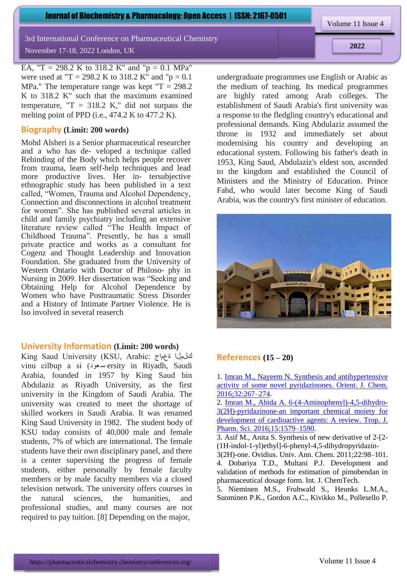### Journal of Biochemistry & Pharmacology: Open Access | ISSN: 2167-0501

**Volume 10** Volume 11 Issue 4

3rd International Conference on Pharmaceutical Chemistry November 17-18, 2022 London, UK

EA, "T = 298.2 K to 318.2 K" and " $p = 0.1$  MPa" were used at "T = 298.2 K to 318.2 K" and "p = 0.1 MPa." The temperature range was kept " $T = 298.2$ K to 318.2 K" such that the maximum examined temperature, " $T = 318.2$  K," did not surpass the melting point of PPD (i.e., 474.2 K to 477.2 K).

#### **Biography (Limit: 200 words)**

Mohd Alsheri is a Senior pharmaceutical researcher and a who has de- veloped a technique called Rebinding of the Body which helps people recover from trauma, learn self-help techniques and lead more productive lives. Her in- tersubjective ethnographic study has been published in a text called, "Women, Trauma and Alcohol Dependency, Connection and disconnections in alcohol treatment for women". She has published several articles in child and family psychiatry including an extensive literature review called "The Health Impact of Childhood Trauma". Presently, he has a small private practice and works as a consultant for Cogenz and Thought Leadership and Innovation Foundation. She graduated from the University of Western Ontario with Doctor of Philoso- phy in Nursing in 2009. Her dissertation was "Seeking and Obtaining Help for Alcohol Dependence by Women who have Posttraumatic Stress Disorder and a History of Intimate Partner Violence. He is lso involved in several reaserch

### **University Information (Limit: 200 words)**

King Saud University (KSU, Arabic: ةعماج كلملا vinu cilbup a si (عود س ersity in Riyadh, Saudi Arabia, founded in 1957 by King Saud bin Abdulaziz as Riyadh University, as the first university in the Kingdom of Saudi Arabia. The university was created to meet the shortage of skilled workers in Saudi Arabia. It was renamed King Saud University in 1982. The student body of KSU today consists of 40,000 male and female students, 7% of which are international. The female students have their own disciplinary panel, and there is a center supervising the progress of female students, either personally by female faculty members or by male faculty members via a closed television network. The university offers courses in the natural sciences, the humanities, and professional studies, and many courses are not required to pay tuition. [8] Depending on the major,

undergraduate programmes use English or Arabic as the medium of teaching. Its medical programmes are highly rated among Arab colleges. The establishment of Saudi Arabia's first university was a response to the fledgling country's educational and professional demands. King Abdulaziz assumed the throne in 1932 and immediately set about modernising his country and developing an educational system. Following his father's death in 1953, King Saud, Abdulaziz's eldest son, ascended to the kingdom and established the Council of Ministers and the Ministry of Education. Prince Fahd, who would later become King of Saudi Arabia, was the country's first minister of education.



#### **References (15 – 20)**

1. [Imran M., Nayeem N. Synthesis and antihypertensive](https://www.longdom.org/biochemistry-pharmacology-open-access/archive.html)  [activity of some novel pyridazinones. Orient. J. Chem.](https://www.longdom.org/biochemistry-pharmacology-open-access/archive.html)  [2016;32:267–274.](https://www.longdom.org/biochemistry-pharmacology-open-access/archive.html)

2. [Imran M., Abida A. 6-\(4-Aminophenyl\)-4,5-dihydro-](https://www.longdom.org/biochemistry-pharmacology-open-access.html)[3\(2H\)-pyridazinone-an important chemical moiety for](https://www.longdom.org/biochemistry-pharmacology-open-access.html)  [development of cardioactive agents: A review. Trop. J.](https://www.longdom.org/biochemistry-pharmacology-open-access.html)  [Pharm. Sci. 2016;15:1579–1590.](https://www.longdom.org/biochemistry-pharmacology-open-access.html)

3. Asif M., Anita S. Synthesis of new derivative of 2-[2- (1H-indol-1-yl)ethyl]-6-phenyl-4,5-dihydropyridazin-

3(2H)-one. Ovidius. Univ. Ann. Chem. 2011;22:98–101. 4. Dobariya T.D., Multani P.J. Development and validation of methods for estimation of pimobendan in pharmaceutical dosage form. Int. J. ChemTech.

5. Nieminen M.S., Fruhwald S., Heunks L.M.A., Suominen P.K., Gordon A.C., Kivikko M., Pollesello P.